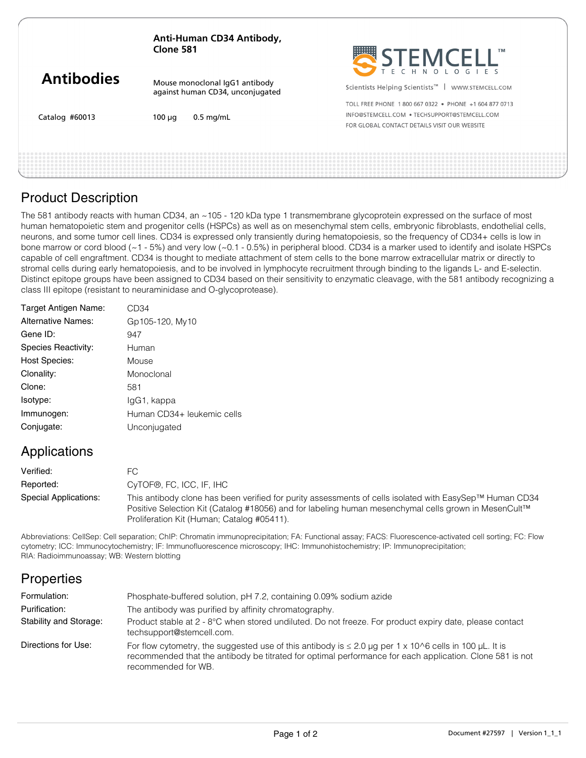| <b>Antibodies</b> | Anti-Human CD34 Antibody,<br>Clone 581                             | STEMCELL"                                                        |
|-------------------|--------------------------------------------------------------------|------------------------------------------------------------------|
|                   | Mouse monoclonal IgG1 antibody<br>against human CD34, unconjugated | Scientists Helping Scientists <sup>™</sup>  <br>WWW.STEMCELL.COM |
| Catalog #60013    | $0.5$ mg/mL<br>$100 \mu q$                                         | TOLL FREE PHONE 1800 667 0322 · PHONE +1 604 877 0713            |
|                   |                                                                    | INFO@STEMCELL.COM . TECHSUPPORT@STEMCELL.COM                     |
|                   |                                                                    | FOR GLOBAL CONTACT DETAILS VISIT OUR WEBSITE                     |
|                   |                                                                    |                                                                  |
|                   |                                                                    |                                                                  |

### Product Description

The 581 antibody reacts with human CD34, an ~105 - 120 kDa type 1 transmembrane glycoprotein expressed on the surface of most human hematopoietic stem and progenitor cells (HSPCs) as well as on mesenchymal stem cells, embryonic fibroblasts, endothelial cells, neurons, and some tumor cell lines. CD34 is expressed only transiently during hematopoiesis, so the frequency of CD34+ cells is low in bone marrow or cord blood (~1 - 5%) and very low (~0.1 - 0.5%) in peripheral blood. CD34 is a marker used to identify and isolate HSPCs capable of cell engraftment. CD34 is thought to mediate attachment of stem cells to the bone marrow extracellular matrix or directly to stromal cells during early hematopoiesis, and to be involved in lymphocyte recruitment through binding to the ligands L- and E-selectin. Distinct epitope groups have been assigned to CD34 based on their sensitivity to enzymatic cleavage, with the 581 antibody recognizing a class III epitope (resistant to neuraminidase and O-glycoprotease).

| Target Antigen Name:      | CD34                       |
|---------------------------|----------------------------|
| <b>Alternative Names:</b> | Gp105-120, My10            |
| Gene ID:                  | 947                        |
| Species Reactivity:       | Human                      |
| <b>Host Species:</b>      | Mouse                      |
| Clonality:                | Monoclonal                 |
| Clone:                    | 581                        |
| Isotype:                  | lgG1, kappa                |
| Immunogen:                | Human CD34+ leukemic cells |
| Conjugate:                | Unconjugated               |
|                           |                            |

### Applications

| Verified:             | FC.                                                                                                                                                                                                                                                           |
|-----------------------|---------------------------------------------------------------------------------------------------------------------------------------------------------------------------------------------------------------------------------------------------------------|
| Reported:             | CyTOF®, FC, ICC, IF, IHC                                                                                                                                                                                                                                      |
| Special Applications: | This antibody clone has been verified for purity assessments of cells isolated with EasySep™ Human CD34<br>Positive Selection Kit (Catalog #18056) and for labeling human mesenchymal cells grown in MesenCult™<br>Proliferation Kit (Human: Catalog #05411). |

Abbreviations: CellSep: Cell separation; ChIP: Chromatin immunoprecipitation; FA: Functional assay; FACS: Fluorescence-activated cell sorting; FC: Flow cytometry; ICC: Immunocytochemistry; IF: Immunofluorescence microscopy; IHC: Immunohistochemistry; IP: Immunoprecipitation; RIA: Radioimmunoassay; WB: Western blotting

# **Properties**

| Formulation:           | Phosphate-buffered solution, pH 7.2, containing 0.09% sodium azide                                                                                                                                                                             |
|------------------------|------------------------------------------------------------------------------------------------------------------------------------------------------------------------------------------------------------------------------------------------|
| Purification:          | The antibody was purified by affinity chromatography.                                                                                                                                                                                          |
| Stability and Storage: | Product stable at 2 - 8°C when stored undiluted. Do not freeze. For product expiry date, please contact<br>techsupport@stemcell.com.                                                                                                           |
| Directions for Use:    | For flow cytometry, the suggested use of this antibody is $\leq 2.0$ µg per 1 x 10^6 cells in 100 µL. It is<br>recommended that the antibody be titrated for optimal performance for each application. Clone 581 is not<br>recommended for WB. |